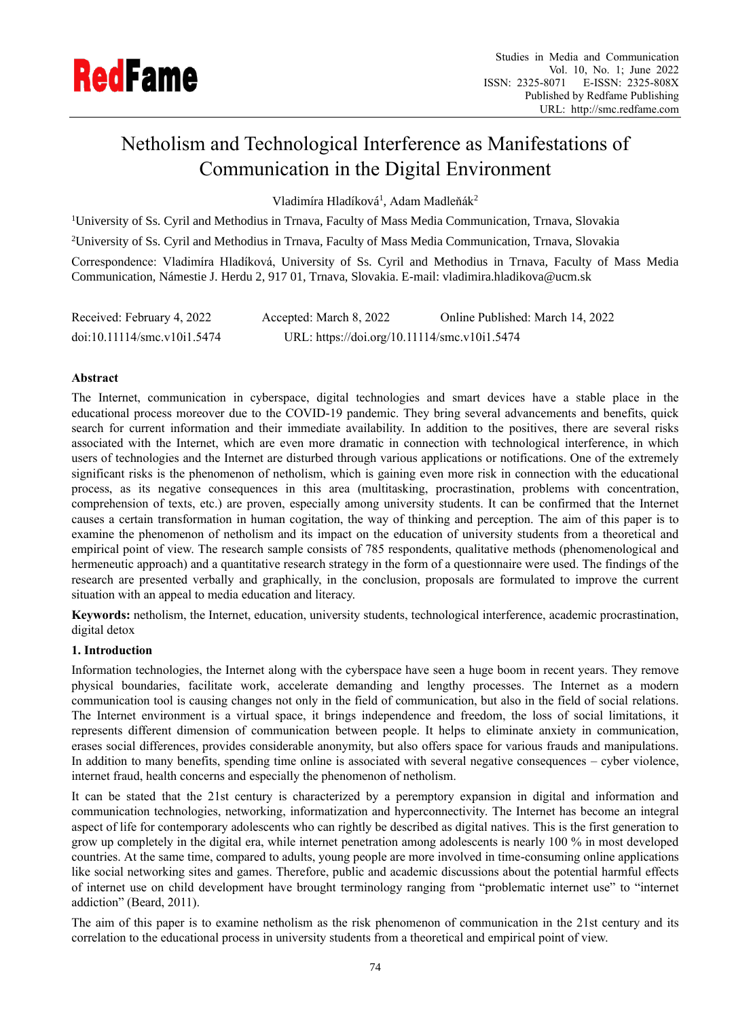

# Netholism and Technological Interference as Manifestations of Communication in the Digital Environment

Vladimíra Hladíková<sup>1</sup>, Adam Madleňák<sup>2</sup>

<sup>1</sup>University of Ss. Cyril and Methodius in Trnava, Faculty of Mass Media Communication, Trnava, Slovakia <sup>2</sup>University of Ss. Cyril and Methodius in Trnava, Faculty of Mass Media Communication, Trnava, Slovakia Correspondence: Vladimíra Hladíková, University of Ss. Cyril and Methodius in Trnava, Faculty of Mass Media Communication, Námestie J. Herdu 2, 917 01, Trnava, Slovakia. E-mail: vladimira.hladikova@ucm.sk

| Received: February 4, 2022  | Accepted: March 8, 2022                      | Online Published: March 14, 2022 |
|-----------------------------|----------------------------------------------|----------------------------------|
| doi:10.11114/smc.v10i1.5474 | URL: https://doi.org/10.11114/smc.v10i1.5474 |                                  |

# **Abstract**

The Internet, communication in cyberspace, digital technologies and smart devices have a stable place in the educational process moreover due to the COVID-19 pandemic. They bring several advancements and benefits, quick search for current information and their immediate availability. In addition to the positives, there are several risks associated with the Internet, which are even more dramatic in connection with technological interference, in which users of technologies and the Internet are disturbed through various applications or notifications. One of the extremely significant risks is the phenomenon of netholism, which is gaining even more risk in connection with the educational process, as its negative consequences in this area (multitasking, procrastination, problems with concentration, comprehension of texts, etc.) are proven, especially among university students. It can be confirmed that the Internet causes a certain transformation in human cogitation, the way of thinking and perception. The aim of this paper is to examine the phenomenon of netholism and its impact on the education of university students from a theoretical and empirical point of view. The research sample consists of 785 respondents, qualitative methods (phenomenological and hermeneutic approach) and a quantitative research strategy in the form of a questionnaire were used. The findings of the research are presented verbally and graphically, in the conclusion, proposals are formulated to improve the current situation with an appeal to media education and literacy.

**Keywords:** netholism, the Internet, education, university students, technological interference, academic procrastination, digital detox

# **1. Introduction**

Information technologies, the Internet along with the cyberspace have seen a huge boom in recent years. They remove physical boundaries, facilitate work, accelerate demanding and lengthy processes. The Internet as a modern communication tool is causing changes not only in the field of communication, but also in the field of social relations. The Internet environment is a virtual space, it brings independence and freedom, the loss of social limitations, it represents different dimension of communication between people. It helps to eliminate anxiety in communication, erases social differences, provides considerable anonymity, but also offers space for various frauds and manipulations. In addition to many benefits, spending time online is associated with several negative consequences – cyber violence, internet fraud, health concerns and especially the phenomenon of netholism.

It can be stated that the 21st century is characterized by a peremptory expansion in digital and information and communication technologies, networking, informatization and hyperconnectivity. The Internet has become an integral aspect of life for contemporary adolescents who can rightly be described as digital natives. This is the first generation to grow up completely in the digital era, while internet penetration among adolescents is nearly 100 % in most developed countries. At the same time, compared to adults, young people are more involved in time-consuming online applications like social networking sites and games. Therefore, public and academic discussions about the potential harmful effects of internet use on child development have brought terminology ranging from "problematic internet use" to "internet addiction" (Beard, 2011).

The aim of this paper is to examine netholism as the risk phenomenon of communication in the 21st century and its correlation to the educational process in university students from a theoretical and empirical point of view.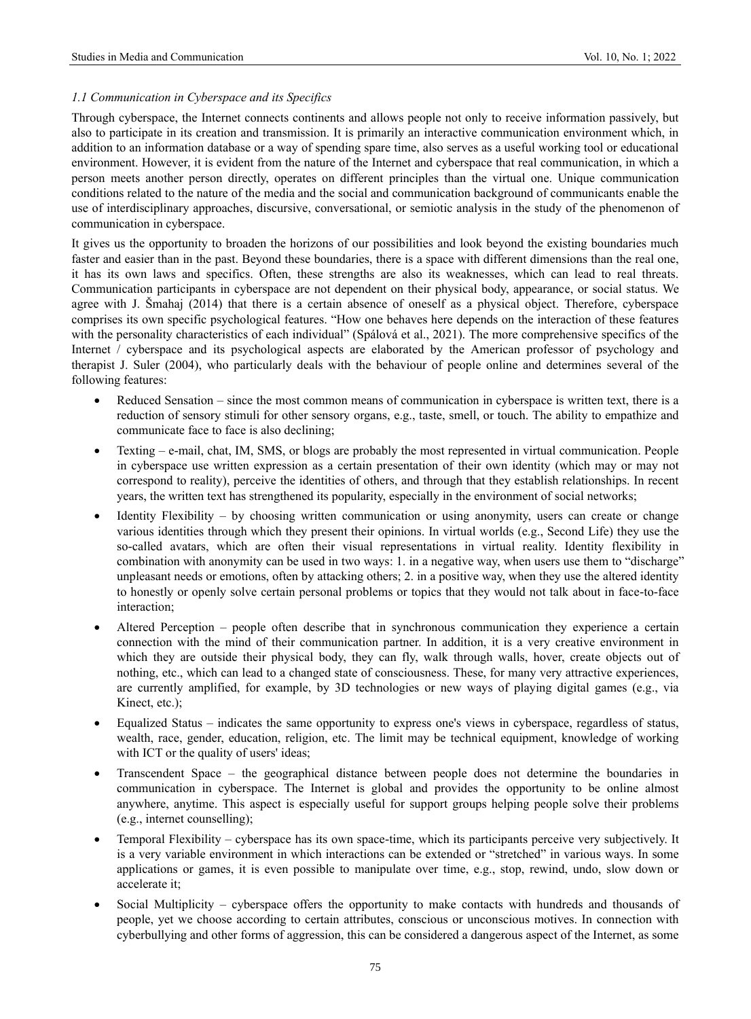# *1.1 Communication in Cyberspace and its Specifics*

Through cyberspace, the Internet connects continents and allows people not only to receive information passively, but also to participate in its creation and transmission. It is primarily an interactive communication environment which, in addition to an information database or a way of spending spare time, also serves as a useful working tool or educational environment. However, it is evident from the nature of the Internet and cyberspace that real communication, in which a person meets another person directly, operates on different principles than the virtual one. Unique communication conditions related to the nature of the media and the social and communication background of communicants enable the use of interdisciplinary approaches, discursive, conversational, or semiotic analysis in the study of the phenomenon of communication in cyberspace.

It gives us the opportunity to broaden the horizons of our possibilities and look beyond the existing boundaries much faster and easier than in the past. Beyond these boundaries, there is a space with different dimensions than the real one, it has its own laws and specifics. Often, these strengths are also its weaknesses, which can lead to real threats. Communication participants in cyberspace are not dependent on their physical body, appearance, or social status. We agree with J. Šmahaj (2014) that there is a certain absence of oneself as a physical object. Therefore, cyberspace comprises its own specific psychological features. "How one behaves here depends on the interaction of these features with the personality characteristics of each individual" (Spálová et al., 2021). The more comprehensive specifics of the Internet / cyberspace and its psychological aspects are elaborated by the American professor of psychology and therapist J. Suler (2004), who particularly deals with the behaviour of people online and determines several of the following features:

- Reduced Sensation since the most common means of communication in cyberspace is written text, there is a reduction of sensory stimuli for other sensory organs, e.g., taste, smell, or touch. The ability to empathize and communicate face to face is also declining;
- Texting e-mail, chat, IM, SMS, or blogs are probably the most represented in virtual communication. People in cyberspace use written expression as a certain presentation of their own identity (which may or may not correspond to reality), perceive the identities of others, and through that they establish relationships. In recent years, the written text has strengthened its popularity, especially in the environment of social networks;
- Identity Flexibility by choosing written communication or using anonymity, users can create or change various identities through which they present their opinions. In virtual worlds (e.g., Second Life) they use the so-called avatars, which are often their visual representations in virtual reality. Identity flexibility in combination with anonymity can be used in two ways: 1. in a negative way, when users use them to "discharge" unpleasant needs or emotions, often by attacking others; 2. in a positive way, when they use the altered identity to honestly or openly solve certain personal problems or topics that they would not talk about in face-to-face interaction;
- Altered Perception people often describe that in synchronous communication they experience a certain connection with the mind of their communication partner. In addition, it is a very creative environment in which they are outside their physical body, they can fly, walk through walls, hover, create objects out of nothing, etc., which can lead to a changed state of consciousness. These, for many very attractive experiences, are currently amplified, for example, by 3D technologies or new ways of playing digital games (e.g., via Kinect, etc.);
- Equalized Status indicates the same opportunity to express one's views in cyberspace, regardless of status, wealth, race, gender, education, religion, etc. The limit may be technical equipment, knowledge of working with ICT or the quality of users' ideas;
- Transcendent Space the geographical distance between people does not determine the boundaries in communication in cyberspace. The Internet is global and provides the opportunity to be online almost anywhere, anytime. This aspect is especially useful for support groups helping people solve their problems (e.g., internet counselling);
- Temporal Flexibility cyberspace has its own space-time, which its participants perceive very subjectively. It is a very variable environment in which interactions can be extended or "stretched" in various ways. In some applications or games, it is even possible to manipulate over time, e.g., stop, rewind, undo, slow down or accelerate it;
- Social Multiplicity cyberspace offers the opportunity to make contacts with hundreds and thousands of people, yet we choose according to certain attributes, conscious or unconscious motives. In connection with cyberbullying and other forms of aggression, this can be considered a dangerous aspect of the Internet, as some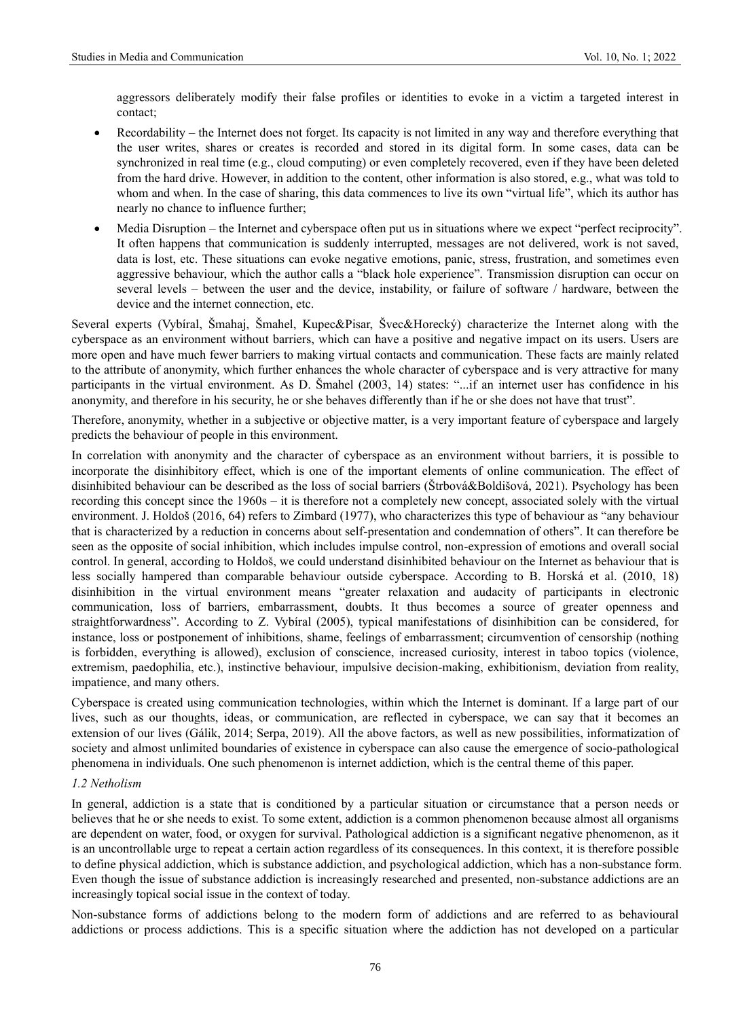aggressors deliberately modify their false profiles or identities to evoke in a victim a targeted interest in contact;

- Recordability the Internet does not forget. Its capacity is not limited in any way and therefore everything that the user writes, shares or creates is recorded and stored in its digital form. In some cases, data can be synchronized in real time (e.g., cloud computing) or even completely recovered, even if they have been deleted from the hard drive. However, in addition to the content, other information is also stored, e.g., what was told to whom and when. In the case of sharing, this data commences to live its own "virtual life", which its author has nearly no chance to influence further;
- Media Disruption the Internet and cyberspace often put us in situations where we expect "perfect reciprocity". It often happens that communication is suddenly interrupted, messages are not delivered, work is not saved, data is lost, etc. These situations can evoke negative emotions, panic, stress, frustration, and sometimes even aggressive behaviour, which the author calls a "black hole experience". Transmission disruption can occur on several levels – between the user and the device, instability, or failure of software / hardware, between the device and the internet connection, etc.

Several experts (Vybíral, Šmahaj, Šmahel, Kupec&Pisar, Švec&Horecký) characterize the Internet along with the cyberspace as an environment without barriers, which can have a positive and negative impact on its users. Users are more open and have much fewer barriers to making virtual contacts and communication. These facts are mainly related to the attribute of anonymity, which further enhances the whole character of cyberspace and is very attractive for many participants in the virtual environment. As D. Šmahel (2003, 14) states: "...if an internet user has confidence in his anonymity, and therefore in his security, he or she behaves differently than if he or she does not have that trust".

Therefore, anonymity, whether in a subjective or objective matter, is a very important feature of cyberspace and largely predicts the behaviour of people in this environment.

In correlation with anonymity and the character of cyberspace as an environment without barriers, it is possible to incorporate the disinhibitory effect, which is one of the important elements of online communication. The effect of disinhibited behaviour can be described as the loss of social barriers (Štrbová&Boldišová, 2021). Psychology has been recording this concept since the 1960s – it is therefore not a completely new concept, associated solely with the virtual environment. J. Holdoš (2016, 64) refers to Zimbard (1977), who characterizes this type of behaviour as "any behaviour that is characterized by a reduction in concerns about self-presentation and condemnation of others". It can therefore be seen as the opposite of social inhibition, which includes impulse control, non-expression of emotions and overall social control. In general, according to Holdoš, we could understand disinhibited behaviour on the Internet as behaviour that is less socially hampered than comparable behaviour outside cyberspace. According to B. Horská et al. (2010, 18) disinhibition in the virtual environment means "greater relaxation and audacity of participants in electronic communication, loss of barriers, embarrassment, doubts. It thus becomes a source of greater openness and straightforwardness". According to Z. Vybíral (2005), typical manifestations of disinhibition can be considered, for instance, loss or postponement of inhibitions, shame, feelings of embarrassment; circumvention of censorship (nothing is forbidden, everything is allowed), exclusion of conscience, increased curiosity, interest in taboo topics (violence, extremism, paedophilia, etc.), instinctive behaviour, impulsive decision-making, exhibitionism, deviation from reality, impatience, and many others.

Cyberspace is created using communication technologies, within which the Internet is dominant. If a large part of our lives, such as our thoughts, ideas, or communication, are reflected in cyberspace, we can say that it becomes an extension of our lives (Gálik, 2014; Serpa, 2019). All the above factors, as well as new possibilities, informatization of society and almost unlimited boundaries of existence in cyberspace can also cause the emergence of socio-pathological phenomena in individuals. One such phenomenon is internet addiction, which is the central theme of this paper.

# *1.2 Netholism*

In general, addiction is a state that is conditioned by a particular situation or circumstance that a person needs or believes that he or she needs to exist. To some extent, addiction is a common phenomenon because almost all organisms are dependent on water, food, or oxygen for survival. Pathological addiction is a significant negative phenomenon, as it is an uncontrollable urge to repeat a certain action regardless of its consequences. In this context, it is therefore possible to define physical addiction, which is substance addiction, and psychological addiction, which has a non-substance form. Even though the issue of substance addiction is increasingly researched and presented, non-substance addictions are an increasingly topical social issue in the context of today.

Non-substance forms of addictions belong to the modern form of addictions and are referred to as behavioural addictions or process addictions. This is a specific situation where the addiction has not developed on a particular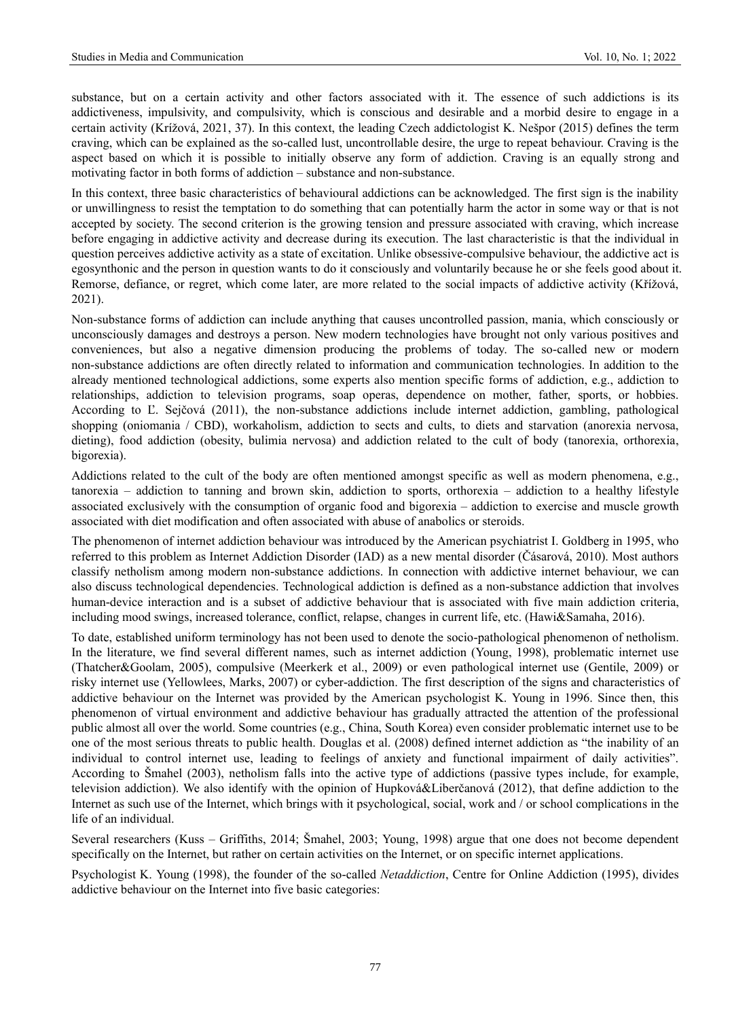substance, but on a certain activity and other factors associated with it. The essence of such addictions is its addictiveness, impulsivity, and compulsivity, which is conscious and desirable and a morbid desire to engage in a certain activity (Krížová, 2021, 37). In this context, the leading Czech addictologist K. Nešpor (2015) defines the term craving, which can be explained as the so-called lust, uncontrollable desire, the urge to repeat behaviour. Craving is the aspect based on which it is possible to initially observe any form of addiction. Craving is an equally strong and motivating factor in both forms of addiction – substance and non-substance.

In this context, three basic characteristics of behavioural addictions can be acknowledged. The first sign is the inability or unwillingness to resist the temptation to do something that can potentially harm the actor in some way or that is not accepted by society. The second criterion is the growing tension and pressure associated with craving, which increase before engaging in addictive activity and decrease during its execution. The last characteristic is that the individual in question perceives addictive activity as a state of excitation. Unlike obsessive-compulsive behaviour, the addictive act is egosynthonic and the person in question wants to do it consciously and voluntarily because he or she feels good about it. Remorse, defiance, or regret, which come later, are more related to the social impacts of addictive activity (Křížová, 2021).

Non-substance forms of addiction can include anything that causes uncontrolled passion, mania, which consciously or unconsciously damages and destroys a person. New modern technologies have brought not only various positives and conveniences, but also a negative dimension producing the problems of today. The so-called new or modern non-substance addictions are often directly related to information and communication technologies. In addition to the already mentioned technological addictions, some experts also mention specific forms of addiction, e.g., addiction to relationships, addiction to television programs, soap operas, dependence on mother, father, sports, or hobbies. According to Ľ. Sejčová (2011), the non-substance addictions include internet addiction, gambling, pathological shopping (oniomania / CBD), workaholism, addiction to sects and cults, to diets and starvation (anorexia nervosa, dieting), food addiction (obesity, bulimia nervosa) and addiction related to the cult of body (tanorexia, orthorexia, bigorexia).

Addictions related to the cult of the body are often mentioned amongst specific as well as modern phenomena, e.g., tanorexia – addiction to tanning and brown skin, addiction to sports, orthorexia – addiction to a healthy lifestyle associated exclusively with the consumption of organic food and bigorexia – addiction to exercise and muscle growth associated with diet modification and often associated with abuse of anabolics or steroids.

The phenomenon of internet addiction behaviour was introduced by the American psychiatrist I. Goldberg in 1995, who referred to this problem as Internet Addiction Disorder (IAD) as a new mental disorder (Čásarová, 2010). Most authors classify netholism among modern non-substance addictions. In connection with addictive internet behaviour, we can also discuss technological dependencies. Technological addiction is defined as a non-substance addiction that involves human-device interaction and is a subset of addictive behaviour that is associated with five main addiction criteria, including mood swings, increased tolerance, conflict, relapse, changes in current life, etc. (Hawi&Samaha, 2016).

To date, established uniform terminology has not been used to denote the socio-pathological phenomenon of netholism. In the literature, we find several different names, such as internet addiction (Young, 1998), problematic internet use (Thatcher&Goolam, 2005), compulsive (Meerkerk et al., 2009) or even pathological internet use (Gentile, 2009) or risky internet use (Yellowlees, Marks, 2007) or cyber-addiction. The first description of the signs and characteristics of addictive behaviour on the Internet was provided by the American psychologist K. Young in 1996. Since then, this phenomenon of virtual environment and addictive behaviour has gradually attracted the attention of the professional public almost all over the world. Some countries (e.g., China, South Korea) even consider problematic internet use to be one of the most serious threats to public health. Douglas et al. (2008) defined internet addiction as "the inability of an individual to control internet use, leading to feelings of anxiety and functional impairment of daily activities". According to Šmahel (2003), netholism falls into the active type of addictions (passive types include, for example, television addiction). We also identify with the opinion of Hupková&Liberčanová (2012), that define addiction to the Internet as such use of the Internet, which brings with it psychological, social, work and / or school complications in the life of an individual.

Several researchers (Kuss – Griffiths, 2014; Šmahel, 2003; Young, 1998) argue that one does not become dependent specifically on the Internet, but rather on certain activities on the Internet, or on specific internet applications.

Psychologist K. Young (1998), the founder of the so-called *Netaddiction*, Centre for Online Addiction (1995), divides addictive behaviour on the Internet into five basic categories: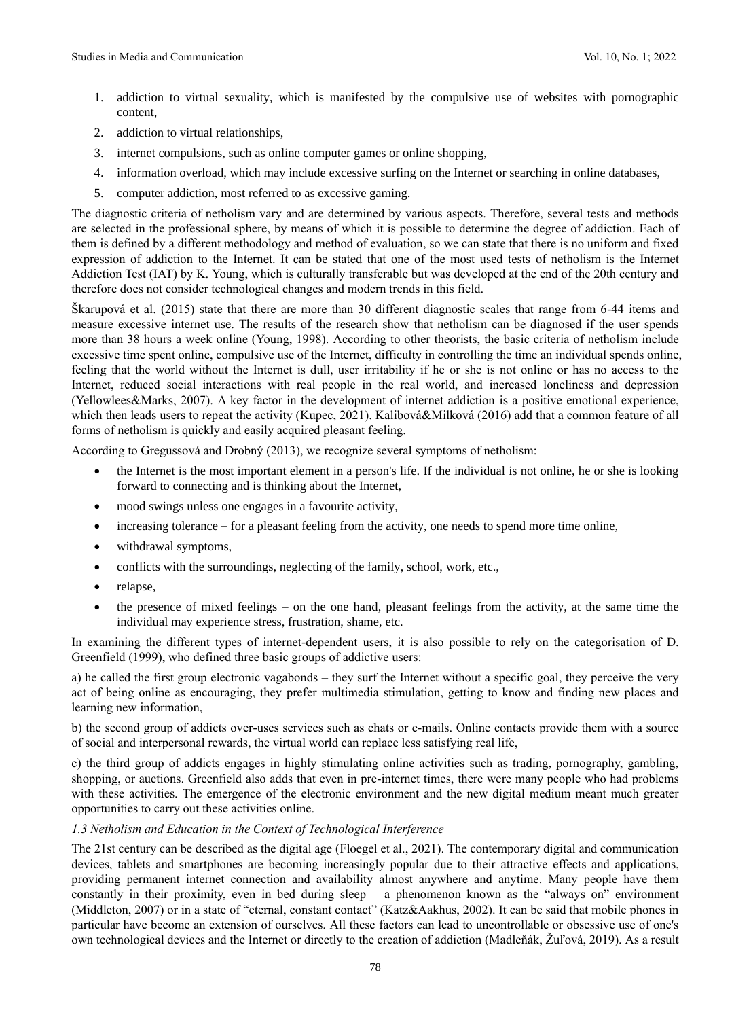- 1. addiction to virtual sexuality, which is manifested by the compulsive use of websites with pornographic content,
- 2. addiction to virtual relationships,
- 3. internet compulsions, such as online computer games or online shopping,
- 4. information overload, which may include excessive surfing on the Internet or searching in online databases,
- 5. computer addiction, most referred to as excessive gaming.

The diagnostic criteria of netholism vary and are determined by various aspects. Therefore, several tests and methods are selected in the professional sphere, by means of which it is possible to determine the degree of addiction. Each of them is defined by a different methodology and method of evaluation, so we can state that there is no uniform and fixed expression of addiction to the Internet. It can be stated that one of the most used tests of netholism is the Internet Addiction Test (IAT) by K. Young, which is culturally transferable but was developed at the end of the 20th century and therefore does not consider technological changes and modern trends in this field.

Škarupová et al. (2015) state that there are more than 30 different diagnostic scales that range from 6-44 items and measure excessive internet use. The results of the research show that netholism can be diagnosed if the user spends more than 38 hours a week online (Young, 1998). According to other theorists, the basic criteria of netholism include excessive time spent online, compulsive use of the Internet, difficulty in controlling the time an individual spends online, feeling that the world without the Internet is dull, user irritability if he or she is not online or has no access to the Internet, reduced social interactions with real people in the real world, and increased loneliness and depression (Yellowlees&Marks, 2007). A key factor in the development of internet addiction is a positive emotional experience, which then leads users to repeat the activity (Kupec, 2021). Kalibová&Milková (2016) add that a common feature of all forms of netholism is quickly and easily acquired pleasant feeling.

According to Gregussová and Drobný (2013), we recognize several symptoms of netholism:

- the Internet is the most important element in a person's life. If the individual is not online, he or she is looking forward to connecting and is thinking about the Internet,
- mood swings unless one engages in a favourite activity,
- increasing tolerance for a pleasant feeling from the activity, one needs to spend more time online,
- withdrawal symptoms,
- conflicts with the surroundings, neglecting of the family, school, work, etc.,
- relapse,
- the presence of mixed feelings on the one hand, pleasant feelings from the activity, at the same time the individual may experience stress, frustration, shame, etc.

In examining the different types of internet-dependent users, it is also possible to rely on the categorisation of D. Greenfield (1999), who defined three basic groups of addictive users:

a) he called the first group electronic vagabonds – they surf the Internet without a specific goal, they perceive the very act of being online as encouraging, they prefer multimedia stimulation, getting to know and finding new places and learning new information,

b) the second group of addicts over-uses services such as chats or e-mails. Online contacts provide them with a source of social and interpersonal rewards, the virtual world can replace less satisfying real life,

c) the third group of addicts engages in highly stimulating online activities such as trading, pornography, gambling, shopping, or auctions. Greenfield also adds that even in pre-internet times, there were many people who had problems with these activities. The emergence of the electronic environment and the new digital medium meant much greater opportunities to carry out these activities online.

# *1.3 Netholism and Education in the Context of Technological Interference*

The 21st century can be described as the digital age (Floegel et al., 2021). The contemporary digital and communication devices, tablets and smartphones are becoming increasingly popular due to their attractive effects and applications, providing permanent internet connection and availability almost anywhere and anytime. Many people have them constantly in their proximity, even in bed during sleep – a phenomenon known as the "always on" environment (Middleton, 2007) or in a state of "eternal, constant contact" (Katz&Aakhus, 2002). It can be said that mobile phones in particular have become an extension of ourselves. All these factors can lead to uncontrollable or obsessive use of one's own technological devices and the Internet or directly to the creation of addiction (Madleňák, Žuľová, 2019). As a result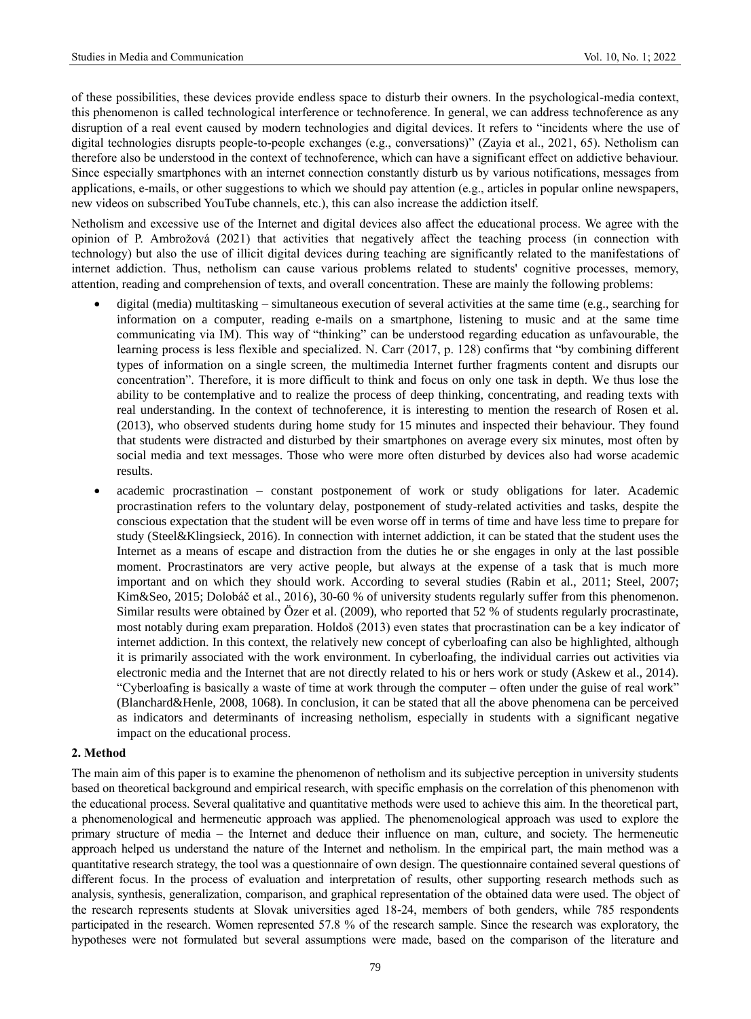of these possibilities, these devices provide endless space to disturb their owners. In the psychological-media context, this phenomenon is called technological interference or technoference. In general, we can address technoference as any disruption of a real event caused by modern technologies and digital devices. It refers to "incidents where the use of digital technologies disrupts people-to-people exchanges (e.g., conversations)" (Zayia et al., 2021, 65). Netholism can therefore also be understood in the context of technoference, which can have a significant effect on addictive behaviour. Since especially smartphones with an internet connection constantly disturb us by various notifications, messages from applications, e-mails, or other suggestions to which we should pay attention (e.g., articles in popular online newspapers, new videos on subscribed YouTube channels, etc.), this can also increase the addiction itself.

Netholism and excessive use of the Internet and digital devices also affect the educational process. We agree with the opinion of P. Ambrožová (2021) that activities that negatively affect the teaching process (in connection with technology) but also the use of illicit digital devices during teaching are significantly related to the manifestations of internet addiction. Thus, netholism can cause various problems related to students' cognitive processes, memory, attention, reading and comprehension of texts, and overall concentration. These are mainly the following problems:

- digital (media) multitasking simultaneous execution of several activities at the same time (e.g., searching for information on a computer, reading e-mails on a smartphone, listening to music and at the same time communicating via IM). This way of "thinking" can be understood regarding education as unfavourable, the learning process is less flexible and specialized. N. Carr (2017, p. 128) confirms that "by combining different types of information on a single screen, the multimedia Internet further fragments content and disrupts our concentration". Therefore, it is more difficult to think and focus on only one task in depth. We thus lose the ability to be contemplative and to realize the process of deep thinking, concentrating, and reading texts with real understanding. In the context of technoference, it is interesting to mention the research of Rosen et al. (2013), who observed students during home study for 15 minutes and inspected their behaviour. They found that students were distracted and disturbed by their smartphones on average every six minutes, most often by social media and text messages. Those who were more often disturbed by devices also had worse academic results.
- academic procrastination constant postponement of work or study obligations for later. Academic procrastination refers to the voluntary delay, postponement of study-related activities and tasks, despite the conscious expectation that the student will be even worse off in terms of time and have less time to prepare for study (Steel&Klingsieck, 2016). In connection with internet addiction, it can be stated that the student uses the Internet as a means of escape and distraction from the duties he or she engages in only at the last possible moment. Procrastinators are very active people, but always at the expense of a task that is much more important and on which they should work. According to several studies (Rabin et al., 2011; Steel, 2007; Kim&Seo, 2015; Dolobáč et al., 2016), 30-60 % of university students regularly suffer from this phenomenon. Similar results were obtained by Özer et al. (2009), who reported that 52 % of students regularly procrastinate, most notably during exam preparation. Holdoš (2013) even states that procrastination can be a key indicator of internet addiction. In this context, the relatively new concept of cyberloafing can also be highlighted, although it is primarily associated with the work environment. In cyberloafing, the individual carries out activities via electronic media and the Internet that are not directly related to his or hers work or study (Askew et al., 2014). "Cyberloafing is basically a waste of time at work through the computer – often under the guise of real work" (Blanchard&Henle, 2008, 1068). In conclusion, it can be stated that all the above phenomena can be perceived as indicators and determinants of increasing netholism, especially in students with a significant negative impact on the educational process.

# **2. Method**

The main aim of this paper is to examine the phenomenon of netholism and its subjective perception in university students based on theoretical background and empirical research, with specific emphasis on the correlation of this phenomenon with the educational process. Several qualitative and quantitative methods were used to achieve this aim. In the theoretical part, a phenomenological and hermeneutic approach was applied. The phenomenological approach was used to explore the primary structure of media – the Internet and deduce their influence on man, culture, and society. The hermeneutic approach helped us understand the nature of the Internet and netholism. In the empirical part, the main method was a quantitative research strategy, the tool was a questionnaire of own design. The questionnaire contained several questions of different focus. In the process of evaluation and interpretation of results, other supporting research methods such as analysis, synthesis, generalization, comparison, and graphical representation of the obtained data were used. The object of the research represents students at Slovak universities aged 18-24, members of both genders, while 785 respondents participated in the research. Women represented 57.8 % of the research sample. Since the research was exploratory, the hypotheses were not formulated but several assumptions were made, based on the comparison of the literature and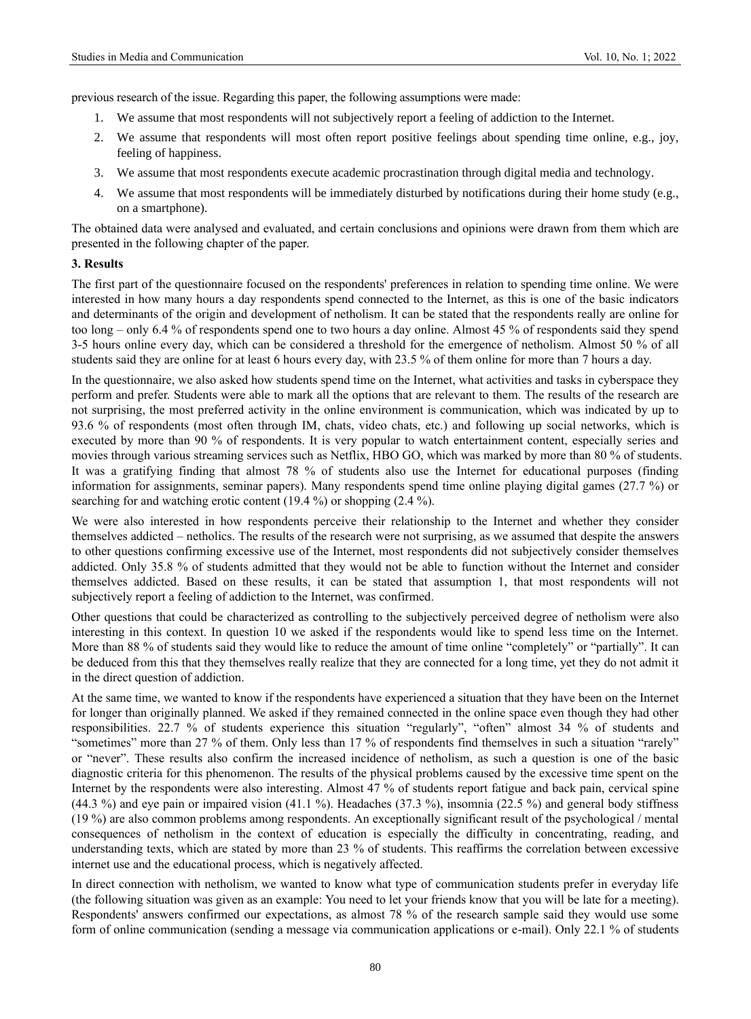previous research of the issue. Regarding this paper, the following assumptions were made:

- 1. We assume that most respondents will not subjectively report a feeling of addiction to the Internet.
- 2. We assume that respondents will most often report positive feelings about spending time online, e.g., joy, feeling of happiness.
- 3. We assume that most respondents execute academic procrastination through digital media and technology.
- We assume that most respondents will be immediately disturbed by notifications during their home study (e.g., on a smartphone).

The obtained data were analysed and evaluated, and certain conclusions and opinions were drawn from them which are presented in the following chapter of the paper.

## **3. Results**

The first part of the questionnaire focused on the respondents' preferences in relation to spending time online. We were interested in how many hours a day respondents spend connected to the Internet, as this is one of the basic indicators and determinants of the origin and development of netholism. It can be stated that the respondents really are online for too long – only 6.4 % of respondents spend one to two hours a day online. Almost 45 % of respondents said they spend 3-5 hours online every day, which can be considered a threshold for the emergence of netholism. Almost 50 % of all students said they are online for at least 6 hours every day, with 23.5 % of them online for more than 7 hours a day.

In the questionnaire, we also asked how students spend time on the Internet, what activities and tasks in cyberspace they perform and prefer. Students were able to mark all the options that are relevant to them. The results of the research are not surprising, the most preferred activity in the online environment is communication, which was indicated by up to 93.6 % of respondents (most often through IM, chats, video chats, etc.) and following up social networks, which is executed by more than 90 % of respondents. It is very popular to watch entertainment content, especially series and movies through various streaming services such as Netflix, HBO GO, which was marked by more than 80 % of students. It was a gratifying finding that almost 78 % of students also use the Internet for educational purposes (finding information for assignments, seminar papers). Many respondents spend time online playing digital games (27.7 %) or searching for and watching erotic content (19.4 %) or shopping (2.4 %).

We were also interested in how respondents perceive their relationship to the Internet and whether they consider themselves addicted – netholics. The results of the research were not surprising, as we assumed that despite the answers to other questions confirming excessive use of the Internet, most respondents did not subjectively consider themselves addicted. Only 35.8 % of students admitted that they would not be able to function without the Internet and consider themselves addicted. Based on these results, it can be stated that assumption 1, that most respondents will not subjectively report a feeling of addiction to the Internet, was confirmed.

Other questions that could be characterized as controlling to the subjectively perceived degree of netholism were also interesting in this context. In question 10 we asked if the respondents would like to spend less time on the Internet. More than 88 % of students said they would like to reduce the amount of time online "completely" or "partially". It can be deduced from this that they themselves really realize that they are connected for a long time, yet they do not admit it in the direct question of addiction.

At the same time, we wanted to know if the respondents have experienced a situation that they have been on the Internet for longer than originally planned. We asked if they remained connected in the online space even though they had other responsibilities. 22.7 % of students experience this situation "regularly", "often" almost 34 % of students and "sometimes" more than 27 % of them. Only less than 17 % of respondents find themselves in such a situation "rarely" or "never". These results also confirm the increased incidence of netholism, as such a question is one of the basic diagnostic criteria for this phenomenon. The results of the physical problems caused by the excessive time spent on the Internet by the respondents were also interesting. Almost 47 % of students report fatigue and back pain, cervical spine (44.3 %) and eye pain or impaired vision (41.1 %). Headaches (37.3 %), insomnia (22.5 %) and general body stiffness (19 %) are also common problems among respondents. An exceptionally significant result of the psychological / mental consequences of netholism in the context of education is especially the difficulty in concentrating, reading, and understanding texts, which are stated by more than 23 % of students. This reaffirms the correlation between excessive internet use and the educational process, which is negatively affected.

In direct connection with netholism, we wanted to know what type of communication students prefer in everyday life (the following situation was given as an example: You need to let your friends know that you will be late for a meeting). Respondents' answers confirmed our expectations, as almost 78 % of the research sample said they would use some form of online communication (sending a message via communication applications or e-mail). Only 22.1 % of students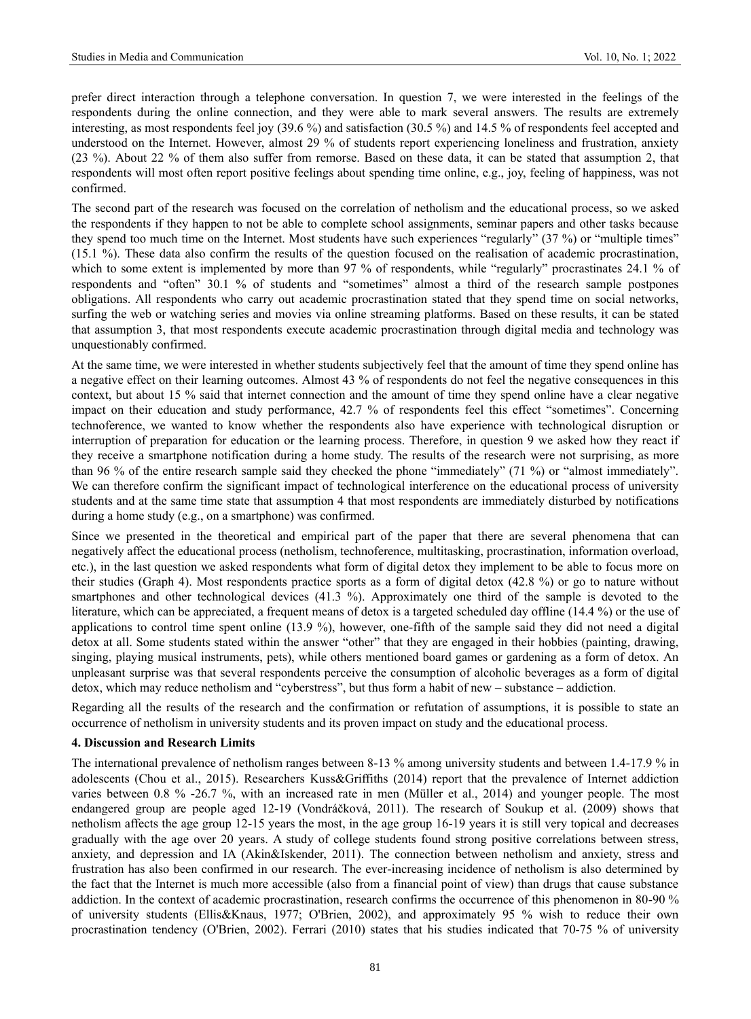prefer direct interaction through a telephone conversation. In question 7, we were interested in the feelings of the respondents during the online connection, and they were able to mark several answers. The results are extremely interesting, as most respondents feel joy (39.6 %) and satisfaction (30.5 %) and 14.5 % of respondents feel accepted and understood on the Internet. However, almost 29 % of students report experiencing loneliness and frustration, anxiety (23 %). About 22 % of them also suffer from remorse. Based on these data, it can be stated that assumption 2, that respondents will most often report positive feelings about spending time online, e.g., joy, feeling of happiness, was not confirmed.

The second part of the research was focused on the correlation of netholism and the educational process, so we asked the respondents if they happen to not be able to complete school assignments, seminar papers and other tasks because they spend too much time on the Internet. Most students have such experiences "regularly" (37 %) or "multiple times" (15.1 %). These data also confirm the results of the question focused on the realisation of academic procrastination, which to some extent is implemented by more than 97 % of respondents, while "regularly" procrastinates 24.1 % of respondents and "often" 30.1 % of students and "sometimes" almost a third of the research sample postpones obligations. All respondents who carry out academic procrastination stated that they spend time on social networks, surfing the web or watching series and movies via online streaming platforms. Based on these results, it can be stated that assumption 3, that most respondents execute academic procrastination through digital media and technology was unquestionably confirmed.

At the same time, we were interested in whether students subjectively feel that the amount of time they spend online has a negative effect on their learning outcomes. Almost 43 % of respondents do not feel the negative consequences in this context, but about 15 % said that internet connection and the amount of time they spend online have a clear negative impact on their education and study performance, 42.7 % of respondents feel this effect "sometimes". Concerning technoference, we wanted to know whether the respondents also have experience with technological disruption or interruption of preparation for education or the learning process. Therefore, in question 9 we asked how they react if they receive a smartphone notification during a home study. The results of the research were not surprising, as more than 96 % of the entire research sample said they checked the phone "immediately" (71 %) or "almost immediately". We can therefore confirm the significant impact of technological interference on the educational process of university students and at the same time state that assumption 4 that most respondents are immediately disturbed by notifications during a home study (e.g., on a smartphone) was confirmed.

Since we presented in the theoretical and empirical part of the paper that there are several phenomena that can negatively affect the educational process (netholism, technoference, multitasking, procrastination, information overload, etc.), in the last question we asked respondents what form of digital detox they implement to be able to focus more on their studies (Graph 4). Most respondents practice sports as a form of digital detox (42.8 %) or go to nature without smartphones and other technological devices (41.3 %). Approximately one third of the sample is devoted to the literature, which can be appreciated, a frequent means of detox is a targeted scheduled day offline (14.4 %) or the use of applications to control time spent online (13.9 %), however, one-fifth of the sample said they did not need a digital detox at all. Some students stated within the answer "other" that they are engaged in their hobbies (painting, drawing, singing, playing musical instruments, pets), while others mentioned board games or gardening as a form of detox. An unpleasant surprise was that several respondents perceive the consumption of alcoholic beverages as a form of digital detox, which may reduce netholism and "cyberstress", but thus form a habit of new – substance – addiction.

Regarding all the results of the research and the confirmation or refutation of assumptions, it is possible to state an occurrence of netholism in university students and its proven impact on study and the educational process.

# **4. Discussion and Research Limits**

The international prevalence of netholism ranges between 8-13 % among university students and between 1.4-17.9 % in adolescents (Chou et al., 2015). Researchers Kuss&Griffiths (2014) report that the prevalence of Internet addiction varies between 0.8 % -26.7 %, with an increased rate in men (Müller et al., 2014) and younger people. The most endangered group are people aged 12-19 (Vondráčková, 2011). The research of Soukup et al. (2009) shows that netholism affects the age group 12-15 years the most, in the age group 16-19 years it is still very topical and decreases gradually with the age over 20 years. A study of college students found strong positive correlations between stress, anxiety, and depression and IA (Akin&Iskender, 2011). The connection between netholism and anxiety, stress and frustration has also been confirmed in our research. The ever-increasing incidence of netholism is also determined by the fact that the Internet is much more accessible (also from a financial point of view) than drugs that cause substance addiction. In the context of academic procrastination, research confirms the occurrence of this phenomenon in 80-90 % of university students (Ellis&Knaus, 1977; O'Brien, 2002), and approximately 95 % wish to reduce their own procrastination tendency (O'Brien, 2002). Ferrari (2010) states that his studies indicated that 70-75 % of university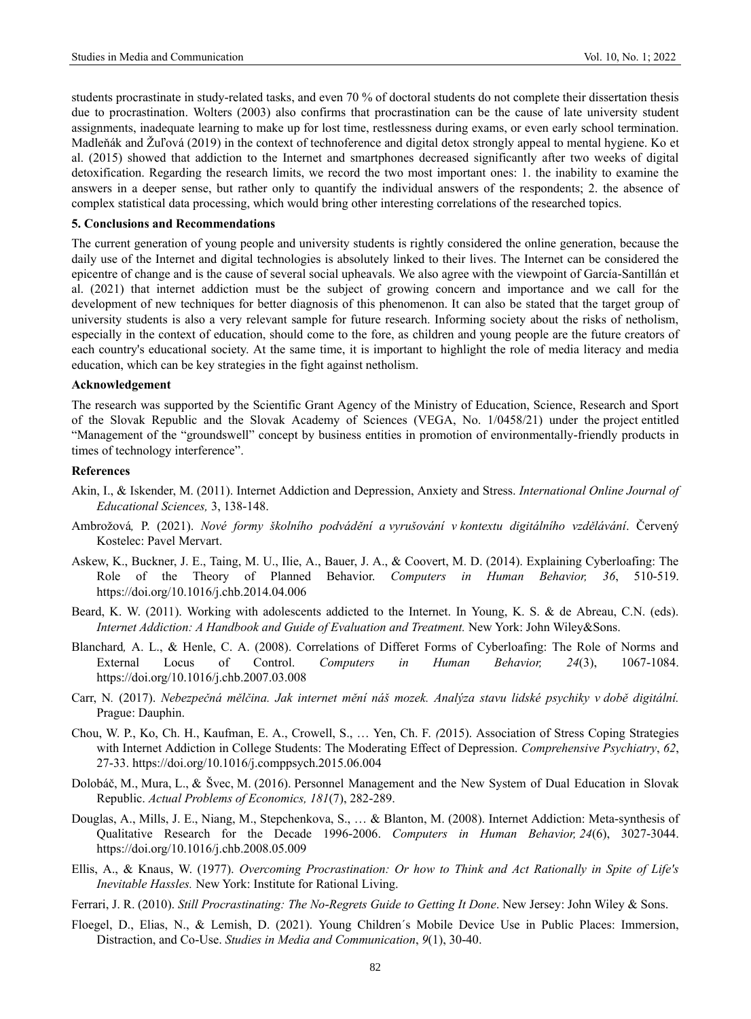students procrastinate in study-related tasks, and even 70 % of doctoral students do not complete their dissertation thesis due to procrastination. Wolters (2003) also confirms that procrastination can be the cause of late university student assignments, inadequate learning to make up for lost time, restlessness during exams, or even early school termination. Madleňák and Žuľová (2019) in the context of technoference and digital detox strongly appeal to mental hygiene. Ko et al. (2015) showed that addiction to the Internet and smartphones decreased significantly after two weeks of digital detoxification. Regarding the research limits, we record the two most important ones: 1. the inability to examine the answers in a deeper sense, but rather only to quantify the individual answers of the respondents; 2. the absence of complex statistical data processing, which would bring other interesting correlations of the researched topics.

### **5. Conclusions and Recommendations**

The current generation of young people and university students is rightly considered the online generation, because the daily use of the Internet and digital technologies is absolutely linked to their lives. The Internet can be considered the epicentre of change and is the cause of several social upheavals. We also agree with the viewpoint of García-Santillán et al. (2021) that internet addiction must be the subject of growing concern and importance and we call for the development of new techniques for better diagnosis of this phenomenon. It can also be stated that the target group of university students is also a very relevant sample for future research. Informing society about the risks of netholism, especially in the context of education, should come to the fore, as children and young people are the future creators of each country's educational society. At the same time, it is important to highlight the role of media literacy and media education, which can be key strategies in the fight against netholism.

#### **Acknowledgement**

The research was supported by the Scientific Grant Agency of the Ministry of Education, Science, Research and Sport of the Slovak Republic and the Slovak Academy of Sciences (VEGA, No. 1/0458/21) under the project entitled "Management of the "groundswell" concept by business entities in promotion of environmentally-friendly products in times of technology interference".

# **References**

- Akin, I., & Iskender, M. (2011). Internet Addiction and Depression, Anxiety and Stress. *International Online Journal of Educational Sciences,* 3, 138-148.
- Ambrožová*,* P. (2021). *Nové formy školního podvádění a vyrušování v kontextu digitálního vzdělávání*. Červený Kostelec: Pavel Mervart.
- Askew, K., Buckner, J. E., Taing, M. U., Ilie, A., Bauer, J. A., & Coovert, M. D. (2014). Explaining Cyberloafing: The Role of the Theory of Planned Behavior. *Computers in Human Behavior, 36*, 510-519. [https://doi.org/10.1016/j.chb.2014.04.006](https://psycnet.apa.org/doi/10.1016/j.chb.2014.04.006)
- Beard, K. W. (2011). Working with adolescents addicted to the Internet. In Young, K. S. & de Abreau, C.N. (eds). *Internet Addiction: A Handbook and Guide of Evaluation and Treatment.* New York: John Wiley&Sons.
- Blanchard*,* A. L., & Henle, C. A. (2008). Correlations of Differet Forms of Cyberloafing: The Role of Norms and External Locus of Control. *Computers in Human Behavior, 24*(3), 1067-1084. https://doi.org/10.1016/j.chb.2007.03.008
- Carr, N*.* (2017). *Nebezpečná mělčina. Jak internet mění náš mozek. Analýza stavu lidské psychiky v době digitální.* Prague: Dauphin.
- Chou, W. P., Ko, Ch. H., Kaufman, E. A., Crowell, S., … Yen, Ch. F. *(*2015). Association of Stress Coping Strategies with Internet Addiction in College Students: The Moderating Effect of Depression. *Comprehensive Psychiatry*, *62*, 27-33. https://doi.org[/10.1016/j.comppsych.2015.06.004](https://doi.org/10.1016/j.comppsych.2015.06.004)
- Dolobáč, M., Mura, L., & Švec, M. (2016). Personnel Management and the New System of Dual Education in Slovak Republic. *Actual Problems of Economics, 181*(7), 282-289.
- Douglas, A., Mills, J. E., Niang, M., Stepchenkova, S., … & Blanton, M. (2008). Internet Addiction: Meta-synthesis of Qualitative Research for the Decade 1996-2006. *Computers in Human Behavior, 24*(6), 3027-3044. [https://doi.org/10.1016/j.chb.2008.05.009](https://psycnet.apa.org/doi/10.1016/j.chb.2008.05.009)
- Ellis, A., & Knaus, W. (1977). *Overcoming Procrastination: Or how to Think and Act Rationally in Spite of Life's Inevitable Hassles.* New York: Institute for Rational Living.
- Ferrari, J. R. (2010). *Still Procrastinating: The No-Regrets Guide to Getting It Done*. New Jersey: John Wiley & Sons.
- Floegel, D., Elias, N., & Lemish, D. (2021). Young Children´s Mobile Device Use in Public Places: Immersion, Distraction, and Co-Use. *Studies in Media and Communication*, *9*(1), 30-40.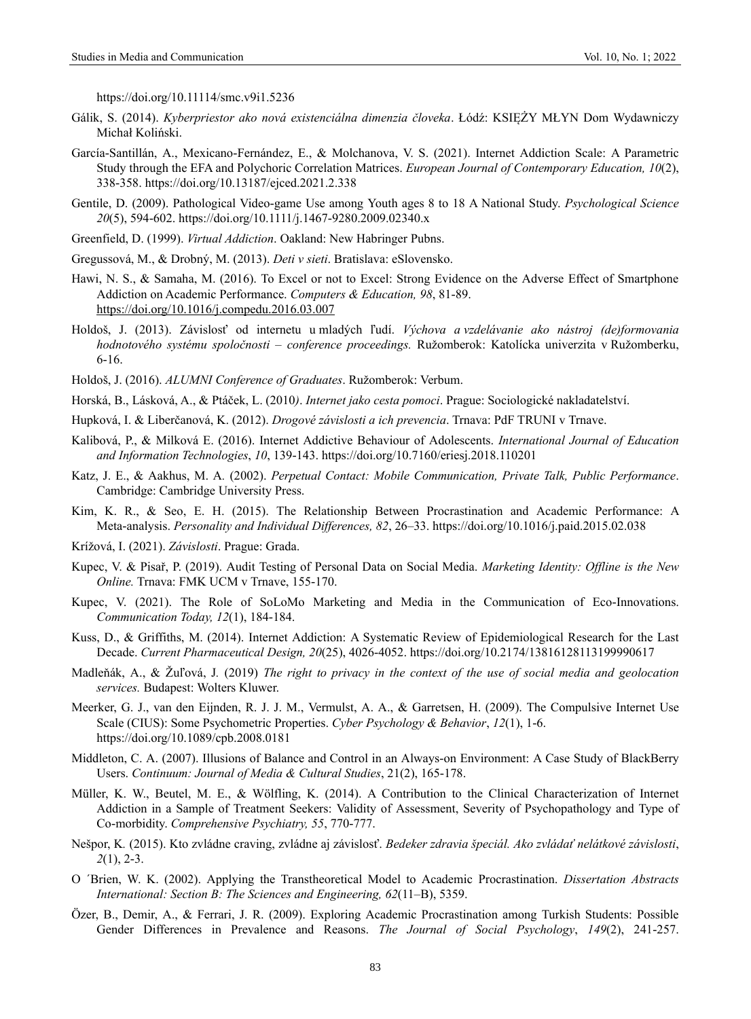https://doi.org/10.11114/smc.v9i1.5236

- Gálik, S. (2014). *Kyberpriestor ako nová existenciálna dimenzia človeka*. Łódź: KSIĘŻY MŁYN Dom Wydawniczy Michał Koliński.
- García-Santillán, A., Mexicano-Fernández, E., & Molchanova, V. S. (2021). Internet Addiction Scale: A Parametric Study through the EFA and Polychoric Correlation Matrices. *European Journal of Contemporary Education, 10*(2), 338-358. https://doi.org[/10.13187/ejced.2021.2.338](http://dx.doi.org/10.13187/ejced.2021.2.338)
- Gentile, D. (2009). Pathological Video-game Use among Youth ages 8 to 18 A National Study. *Psychological Science 20*(5), 594-602. https://doi.org[/10.1111/j.1467-9280.2009.02340.x](https://doi.org/10.1111/j.1467-9280.2009.02340.x)
- Greenfield, D. (1999). *Virtual Addiction*. Oakland: New Habringer Pubns.
- Gregussová, M., & Drobný, M. (2013). *Deti v sieti*. Bratislava: eSlovensko.
- Hawi, N. S., & Samaha, M. (2016). To Excel or not to Excel: Strong Evidence on the Adverse Effect of Smartphone Addiction on Academic Performance. *Computers & Education, 98*, 81-89. <https://doi.org/10.1016/j.compedu.2016.03.007>
- Holdoš, J. (2013). Závislosť od internetu u mladých ľudí. *Výchova a vzdelávanie ako nástroj (de)formovania hodnotového systému spoločnosti – conference proceedings.* Ružomberok: Katolícka univerzita v Ružomberku, 6-16.
- Holdoš, J. (2016). *ALUMNI Conference of Graduates*. Ružomberok: Verbum.
- Horská, B., Lásková, A., & Ptáček, L. (2010*)*. *Internet jako cesta pomoci*. Prague: Sociologické nakladatelství.
- Hupková, I. & Liberčanová, K. (2012). *Drogové závislosti a ich prevencia*. Trnava: PdF TRUNI v Trnave.
- Kalibová, P., & Milková E. (2016). Internet Addictive Behaviour of Adolescents. *International Journal of Education and Information Technologies*, *10*, 139-143. https://doi.org/10.7160/eriesj.2018.110201
- Katz, J. E., & Aakhus, M. A*.* (2002). *Perpetual Contact: Mobile Communication, Private Talk, Public Performance*. Cambridge: Cambridge University Press.
- Kim, K. R., & Seo, E. H. (2015). The Relationship Between Procrastination and Academic Performance: A Meta-analysis. *Personality and Individual Differences, 82*, 26–33. [https://doi.org/10.1016/j.paid.2015.02.038](https://psycnet.apa.org/doi/10.1016/j.paid.2015.02.038)
- Krížová, I. (2021). *Závislosti*. Prague: Grada.
- Kupec, V. & Pisař, P. (2019). Audit Testing of Personal Data on Social Media. *Marketing Identity: Offline is the New Online.* Trnava: FMK UCM v Trnave, 155-170.
- Kupec, V. (2021). The Role of SoLoMo Marketing and Media in the Communication of Eco-Innovations. *Communication Today, 12*(1), 184-184.
- Kuss, D., & Griffiths, M. (2014). Internet Addiction: A Systematic Review of Epidemiological Research for the Last Decade. *Current Pharmaceutical Design, 20*(25), 4026-4052. https://doi.org[/10.2174/13816128113199990617](https://doi.org/10.2174/13816128113199990617)
- Madleňák, A., & Žuľová, J*.* (2019) *The right to privacy in the context of the use of social media and geolocation services.* Budapest: Wolters Kluwer.
- Meerker, G. J., van den Eijnden, R. J. J. M., Vermulst, A. A., & Garretsen, H. (2009). The Compulsive Internet Use Scale (CIUS): Some Psychometric Properties. *Cyber Psychology & Behavior*, *12*(1), 1-6. https://doi.org[/10.1089/cpb.2008.0181](http://dx.doi.org/10.1089/cpb.2008.0181)
- Middleton, C. A. (2007). Illusions of Balance and Control in an Always-on Environment: A Case Study of BlackBerry Users. *Continuum: Journal of Media & Cultural Studies*, 21(2), 165-178.
- Müller, K. W., Beutel, M. E., & Wölfling, K. (2014). A Contribution to the Clinical Characterization of Internet Addiction in a Sample of Treatment Seekers: Validity of Assessment, Severity of Psychopathology and Type of Co-morbidity. *Comprehensive Psychiatry, 55*, 770-777.
- Nešpor, K*.* (2015). Kto zvládne craving, zvládne aj závislosť. *Bedeker zdravia špeciál. Ako zvládať nelátkové závislosti*, *2*(1), 2-3.
- O ´Brien, W. K. (2002). Applying the Transtheoretical Model to Academic Procrastination. *Dissertation Abstracts International: Section B: The Sciences and Engineering, 62*(11–B), 5359.
- Özer, B., Demir, A., & Ferrari, J. R. (2009). Exploring Academic Procrastination among Turkish Students: Possible Gender Differences in Prevalence and Reasons. *The Journal of Social Psychology*, *149*(2), 241-257.